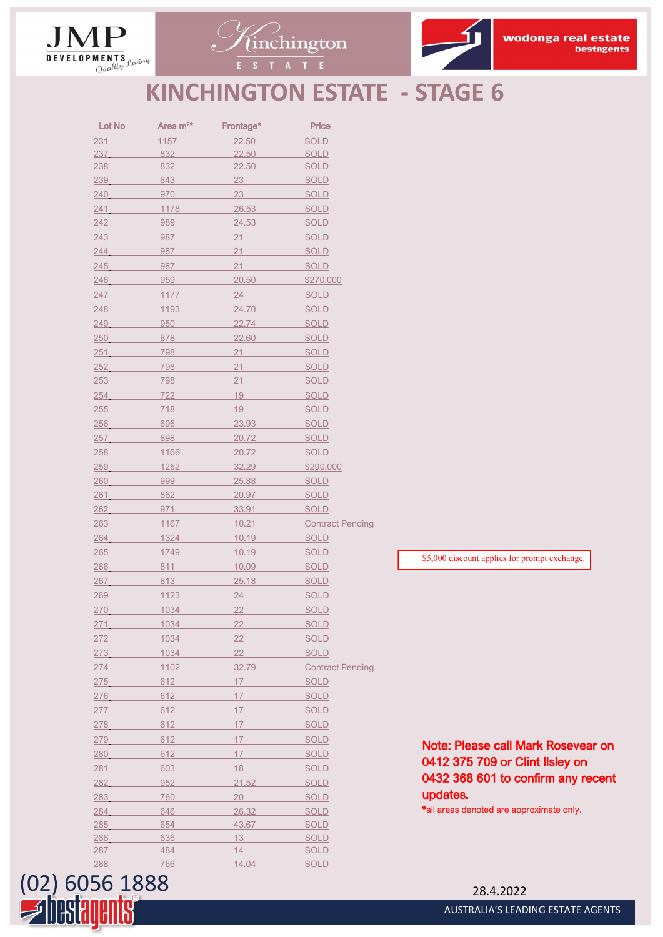



## **KINCHINGTON ESTATE - STAGE 6**

| Lot No     | Area m <sup>2*</sup> | Frontage*   | <b>Price</b>               |
|------------|----------------------|-------------|----------------------------|
| 231        | 1157                 | 22.50       | <b>SOLD</b>                |
| 237        | 832                  | 22.50       | <b>SOLD</b>                |
| 238        | 832                  | 22.50       | <b>SOLD</b>                |
| 239        | 843                  | 23          | <b>SOLD</b>                |
| 240        | 970                  | 23          | <b>SOLD</b>                |
| 241        | 1178                 | 26.53       | <b>SOLD</b>                |
| 242        | 989                  | 24.53       | <b>SOLD</b>                |
| 243        | 987                  | 21          | <b>SOLD</b>                |
| 244        | 987                  | 21          | <b>SOLD</b>                |
| 245        | 987                  | 21          | <b>SOLD</b>                |
| 246        | 959                  | 20.50       | \$270,000                  |
| 247        | 1177                 | 24          | <b>SOLD</b>                |
| 248        | 1193                 | 24.70       | <b>SOLD</b>                |
| 249        | 950                  | 22.74       | <b>SOLD</b>                |
| 250        | 878                  | 22.60       | <b>SOLD</b>                |
| 251        | 798                  | 21          | <b>SOLD</b>                |
| 252        | 798                  | 21          | <b>SOLD</b>                |
| 253        | 798                  | 21          | <b>SOLD</b>                |
| 254        | 722                  | 19          | <b>SOLD</b>                |
| 255        | 718                  | 19          | <b>SOLD</b>                |
| 256        | 696                  | 23.93       | <b>SOLD</b>                |
| 257        | 898                  | 20.72       | <b>SOLD</b>                |
| 258        | 1166                 | 20.72       | <b>SOLD</b>                |
| 259        | 1252                 | 32.29       | \$290,000                  |
| 260        | 999                  | 25.88       | <b>SOLD</b>                |
| 261        | 862                  | 20.97       | <b>SOLD</b>                |
| 262        | 971                  | 33.91       | <b>SOLD</b>                |
| 263        | 1167                 | 10.21       | <b>Contract Pending</b>    |
| 264        | 1324                 | 10.19       | <b>SOLD</b>                |
| 265        | 1749                 | 10.19       | <b>SOLD</b>                |
| 266        | 811                  | 10.09       | <b>SOLD</b>                |
| 267        | 813                  | 25.18       | <b>SOLD</b>                |
| 269        | 1123                 | 24          | <b>SOLD</b>                |
| 270        | 1034                 | 22          | <b>SOLD</b>                |
| 271        | 1034                 | 22          | <b>SOLD</b>                |
| 272        | 1034                 | 22          | <b>SOLD</b>                |
| 273        | 1034                 | 22          | <b>SOLD</b>                |
| 274        | 1102                 | 32.79       | <b>Contract Pending</b>    |
| 275        | 612                  | 17          | <b>SOLD</b>                |
| 276        | 612                  | 17          | <b>SOLD</b>                |
| 277        |                      | 17          | <b>SOLD</b>                |
|            | 612<br>612           | 17          |                            |
| 278        |                      |             | <b>SOLD</b>                |
| 279        | 612                  | 17          | <b>SOLD</b>                |
| 280        | 612                  | 17          | <b>SOLD</b>                |
| 281        | 603                  | 18          | <b>SOLD</b>                |
| 282        | 952                  | 21.52       | <b>SOLD</b>                |
| 283        | 760                  | 20          | <b>SOLD</b>                |
| 284        | 646                  | 26.32       | <b>SOLD</b>                |
| 285<br>286 | 654<br>636           | 43.67<br>13 | <b>SOLD</b>                |
| 287        | 484                  | 14          | <b>SOLD</b><br><b>SOLD</b> |
| 288        | 766                  | 14.04       | <b>SOLD</b>                |
|            |                      |             |                            |

\$5,000 discount applies for prompt exchange.

Note: Please call Mark Rosevear on 0412 375 709 or Clint Ilsley on 0432 368 601 to confirm any recent updates.

\*all areas denoted are approximate only.



 $\frac{\mathsf{D} \, \mathsf{E} \, \mathsf{V} \, \mathsf{E} \, \mathsf{L} \, \mathsf{O} \, \mathsf{P} \, \mathsf{M} \, \mathsf{E} \, \mathsf{N} \, \mathsf{T} \, \mathsf{S}}{Q \, \mathsf{u} \, \mathsf{d} \, \mathsf{t} \, \mathsf{t} \, \mathsf{t} \, \mathsf{t} \, \mathsf{t} \, \mathsf{t} \, \mathsf{t} \, \mathsf{t} \, \mathsf{t}}$